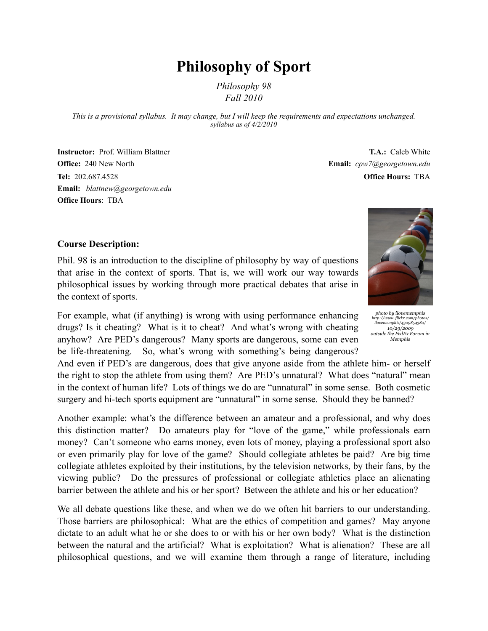# **Philosophy of Sport**

*Philosophy 98 Fall 2010*

*This is a provisional syllabus. It may change, but I will keep the requirements and expectations unchanged. syllabus as of 4/2/2010*

**Instructor:** Prof. William Blattner **Office:** 240 New North **Tel:** 202.687.4528 **Email:** *[blattnew@georgetown.edu](mailto:blattnew@georgetown.edu)* **Office Hours**[: TBA](mailto:blattnew@georgetown.edu)

**T.A.:** Caleb White **Email:** *cpw7@georgetown.edu* **Office Hours:** TBA

#### **Course Description:**

Phil. 98 is an introduction to the discipline of philosophy by way of questions that arise in the context of sports. That is, we will work our way towards philosophical issues by working through more practical debates that arise in the context of sports.

For example, what (if anything) is wrong with using performance enhancing drugs? Is it cheating? What is it to cheat? And what's wrong with cheating anyhow? Are PED's dangerous? Many sports are dangerous, some can even be life-threatening. So, what's wrong with something's being dangerous?

And even if PED's are dangerous, does that give anyone aside from the athlete him- or herself the right to stop the athlete from using them? Are PED's unnatural? What does "natural" mean in the context of human life? Lots of things we do are "unnatural" in some sense. Both cosmetic surgery and hi-tech sports equipment are "unnatural" in some sense. Should they be banned?

Another example: what's the difference between an amateur and a professional, and why does this distinction matter? Do amateurs play for "love of the game," while professionals earn money? Can't someone who earns money, even lots of money, playing a professional sport also or even primarily play for love of the game? Should collegiate athletes be paid? Are big time collegiate athletes exploited by their institutions, by the television networks, by their fans, by the viewing public? Do the pressures of professional or collegiate athletics place an alienating barrier between the athlete and his or her sport? Between the athlete and his or her education?

We all debate questions like these, and when we do we often hit barriers to our understanding. Those barriers are philosophical: What are the ethics of competition and games? May anyone dictate to an adult what he or she does to or with his or her own body? What is the distinction between the natural and the artificial? What is exploitation? What is alienation? These are all philosophical questions, and we will examine them through a range of literature, including

*photo by ilovememphis http://www.flickr.com/photos/ ilovememphis/4309854380/ 10/29/2009 outside the FedEx Forum in* 

*Memphis*

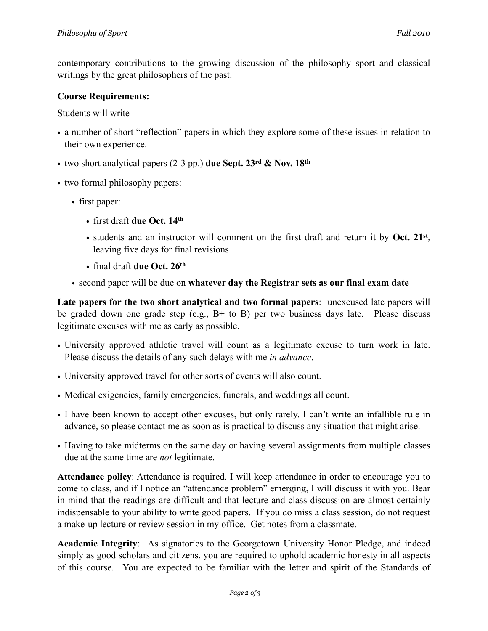contemporary contributions to the growing discussion of the philosophy sport and classical writings by the great philosophers of the past.

### **Course Requirements:**

Students will write

- a number of short "reflection" papers in which they explore some of these issues in relation to their own experience.
- two short analytical papers (2-3 pp.) **due Sept. 23rd & Nov. 18th**
- two formal philosophy papers:
	- first paper:
		- first draft **due Oct. 14th**
		- students and an instructor will comment on the first draft and return it by **Oct. 21st**, leaving five days for final revisions
		- final draft **due Oct. 26th**
	- second paper will be due on **whatever day the Registrar sets as our final exam date**

**Late papers for the two short analytical and two formal papers**: unexcused late papers will be graded down one grade step (e.g., B+ to B) per two business days late. Please discuss legitimate excuses with me as early as possible.

- University approved athletic travel will count as a legitimate excuse to turn work in late. Please discuss the details of any such delays with me *in advance*.
- University approved travel for other sorts of events will also count.
- Medical exigencies, family emergencies, funerals, and weddings all count.
- I have been known to accept other excuses, but only rarely. I can't write an infallible rule in advance, so please contact me as soon as is practical to discuss any situation that might arise.
- Having to take midterms on the same day or having several assignments from multiple classes due at the same time are *not* legitimate.

**Attendance policy**: Attendance is required. I will keep attendance in order to encourage you to come to class, and if I notice an "attendance problem" emerging, I will discuss it with you. Bear in mind that the readings are difficult and that lecture and class discussion are almost certainly indispensable to your ability to write good papers. If you do miss a class session, do not request a make-up lecture or review session in my office. Get notes from a classmate.

**Academic Integrity**: As signatories to the Georgetown University Honor Pledge, and indeed simply as good scholars and citizens, you are required to uphold academic honesty in all aspects of this course. You are expected to be familiar with the letter and spirit of the Standards of